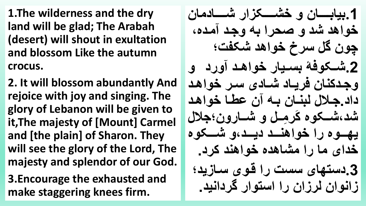**1.The wilderness and the dry land will be glad; The Arabah (desert) will shout in exultation and blossom Like the autumn crocus.**

**2. It will blossom abundantly And rejoice with joy and singing. The glory of Lebanon will be given to it,The majesty of [Mount] Carmel and [the plain] of Sharon. They will see the glory of the Lord, The majesty and splendor of our God.**

**3.Encourage the exhausted and make staggering knees firm.**

**.1بیابااااااکزاز شاااااا زشاااااا اکز** خواهد شد و صحرا به وجد آمده، چون گل سرخ خواهد شکفت؛ 2.شــكوفة بسببار خواهد آورد و **اجا اناکزب یاا زشاا وزسا ز ا ها ز .جا لزنبنااکزباهزمکزاهااز ا ها ز** شد،شــکوه کَرمِــل و شــارون؛جلال یه**اوه را خواهنــد دیــد،و شـــکوه** خدای ما را مشاهده خواهند کرد. 3.دستهای سست را قوی سازید؛  **نا کزن کز ز ستا زگ نی .**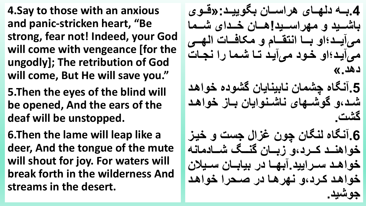**4.Say to those with an anxious and panic-stricken heart, "Be strong, fear not! Indeed, your God will come with vengeance [for the ungodly]; The retribution of God will come, But He will save you."**

**5.Then the eyes of the blind will be opened, And the ears of the deaf will be unstopped.**

**6.Then the lame will leap like a deer, And the tongue of the mute will shout for joy. For waters will break forth in the wilderness And streams in the desert.**

**.4بااهز نهاااوزه ساااکزب اییاا :»قاااوز** باشيد و مهر اسيد!هـان خـدای شـما میآیید؛او بسا انتقسام و مکافسات اله*می* میآید؛او خود میآید تا شما را نجات  **ه .« .5من ا زچش اکزنابینایاکزگشا ز ا ها ز** شد،و گوشـهای ناشنوایان بـاز خواهد **. گشت .6من ا زنن اکزچاکزغ لزجستزاز یا**  خواهنــد کــرد،و زیـــان گنــگ شـــادمانـه خواهد سرایید.آبها در بیابا*ن* سیلان خواهد كرد،و نهرها در صحرا خواهد **جاشی .**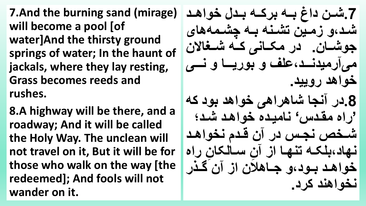**7.And the burning sand (mirage) will become a pool [of water]And the thirsty ground springs of water; In the haunt of jackals, where they lay resting, Grass becomes reeds and rushes.**

**8.A highway will be there, and a roadway; And it will be called the Holy Way. The unclean will not travel on it, But it will be for those who walk on the way [the redeemed]; And fools will not wander on it.**

**.7شااکز هزبااهزب اااهزباا لز ا هاا ز شا از اایکزتشاانهزبااهزچشا هزهاوز** جوشان. در مکانی که شغالان هی آرمیدنــد، علف و بوریــا و نــ*ی* خواهد <u>رویی</u>د. 8 در آنجا شاهراهی خواهد بود که 'راه مقدس<sup>،</sup> نامیده خواهد شد؛ شخص نجس در آن قدم نخواهد **وک وک ساان ا نها ب اه تنهاا م ز** خواهد بود،و جاهلان از آن گذر نخو اهند کر *د* ـ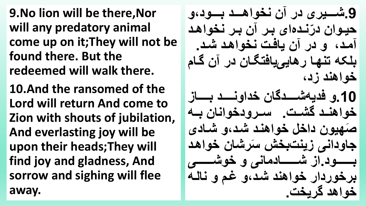**9.No lion will be there,Nor will any predatory animal come up on it;They will not be found there. But the redeemed will walk there.**

**10.And the ransomed of the Lord will return And come to Zion with shouts of jubilation, And everlasting joy will be upon their heads;They will find joy and gladness, And sorrow and sighing will flee away.**

9.شـــيرى در آن نخواهــد بـــود،و حیوان درّندهای بر آن بر نخواهد آمد، و در آن یافت نخواهد شد<u>.</u> بلکه تنها ر هاییبافتگان در آن گام خواهند ز *د*، **.10ازب یهزشاااااا گاکز اناااااا زبااااااا ز** خواهند گشت. سرودخوانان به **ِصهیاک ل ا هنا شا ا شاا و** جاودان*ی* زینتبخش سرشان خواهد بــــــود.از شـــــــادمان*ی* و خوشـــــ*ی* برخوردار خواهند شد،و غم و ناله خواهد گريخت<sub>-</sub>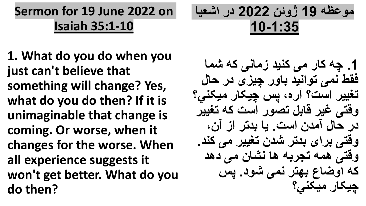## **Sermon for 19 June 2022 on Isaiah 35:1-10**

 **ااظهز19 ژائکز2022 ز شعیاز 10-1:35**

**1. What do you do when you just can't believe that something will change? Yes, what do you do then? If it is unimaginable that change is coming. Or worse, when it changes for the worse. When all experience suggests it won't get better. What do you do then?**

## 1. چه کار می کنید زمان*ی* که شما فقط نمی توانید باور چیزی در حال تغییر است؟ آره، پس چیکار میکن*ي*؟ **وقتی غیر قابل تصور است که تغییر** در حال آمدن است<u>.</u> یا بدتر از آن، وقتی برای بدتر شدن تغییر می کند. وقتی همه تجربه ها نشان می دهد **اهز اضاعزبهت زن یزشا . پ ز چی ا ز ی ني؟**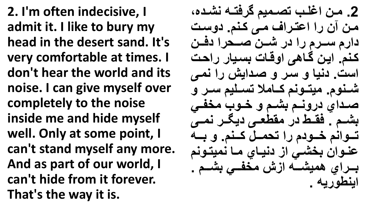**2. I'm often indecisive, I admit it. I like to bury my head in the desert sand. It's very comfortable at times. I don't hear the world and its noise. I can give myself over completely to the noise inside me and hide myself well. Only at some point, I can't stand myself any more. And as part of our world, I can't hide from it forever. That's the way it is.**

2. من اغلب تصميم گرف*ت*ه نشده،  **اکزمکز ز اتا بز ایزاانل. اساتز** دارم سـرم را در شـن صـحرا دفـن کنم. این گاه*ی* اوقات بسیار راحت  **ست. نیازازسا زازصا یشز زن ای** شنوم. میتونم کـاملا تسـليم سـر و صداي درونم بشم و خـوب مخفـ*ي* بشم . فقط در مقطع*ی* دیگر نم*ی* تــوانم خــودم را تحمــل كــنم. و بــه عنوان بخشی از دنیای ما نمیتونم **بااا دزه یشاااهز شز فااايزبشااالز.**  ا**ینطوریه** .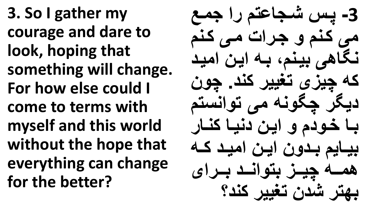**3. So I gather my courage and dare to look, hoping that something will change. For how else could I come to terms with myself and this world without the hope that everything can change for the better?**

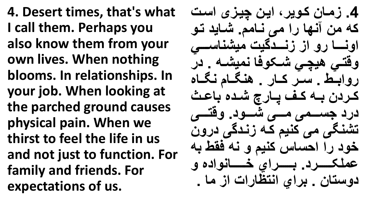**4. Desert times, that's what I call them. Perhaps you also know them from your own lives. When nothing blooms. In relationships. In your job. When looking at the parched ground causes physical pain. When we thirst to feel the life in us and not just to function. For family and friends. For expectations of us.**

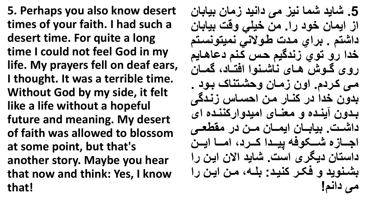**5. Perhaps you also know desert times of your faith. I had such a desert time. For quite a long time I could not feel God in my life. My prayers fell on deaf ears, I thought. It was a terrible time. Without God by my side, it felt like a life without a hopeful future and meaning. My desert of faith was allowed to blossom at some point, but that's another story. Maybe you hear that now and think: Yes, I know that!**

**.5 شای زش ازنی ز یز نی ز اکزبیاباکز** از ایمان خود را. من خیلی وقت بیابا*ن* داشتم ـ براي مدت طولان*ي* نميتونستم خدا رو توي زندگيم حس كنم دعاهايم روی گوش های ناشنوا افتاد، گ*م*ان می کردم. اون زمان وحشتناک بود . بدون خدا در کنــار مـن احســاس زنـدگی بدون آینده و مع*ن*ای امیدوارکننده ای داشـت. بیابــان ایمــان مــن در مقطعــ<sub>و،</sub> اجـــاز ه شـــكوفه بیــدا كــرد، امـــا ایــن داستان دیگری است. شاید الا*ن* این را بشنوید و فکر کنید: بلـه، مـن ایـن را مي دانم!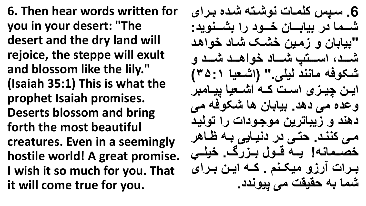**6. Then hear words written for you in your desert: "The desert and the dry land will rejoice, the steppe will exult and blossom like the lily." (Isaiah 35:1) This is what the prophet Isaiah promises. Deserts blossom and bring forth the most beautiful creatures. Even in a seemingly hostile world! A great promise. I wish it so much for you. That it will come true for you.**

**.6 ساپ زا ااتزناشاتهزشا زبا و** شــما در بیابــا*ن* خــود را بشــنوید: **"بیاباکزاز ایکز شاشزشاا ز ا ها ز** شــد، اســتب شــاد خواهــد شــد و **ش ابهز انن زنی ی." ) شاعیاز۳۵:۱(**  این چیزی است که اشعیا بیامبر و عده می دهد<sub>.</sub> بیابان ها شکوفه می دهند و زیباترین موجودات را تولید  **ایزاننا . حتایز ز نیااییزباهزظااه**  خصـمانه! یـه قـول بـزرگ. خیل*ـی* **باا تزم از ی اانلز. اااهز یااکزباا وز** شما به حقیق*ت می* پیوندد.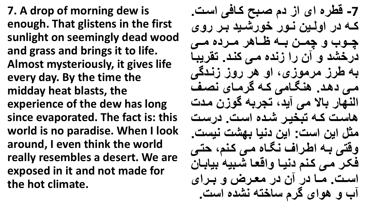**7. A drop of morning dew is enough. That glistens in the first sunlight on seemingly dead wood and grass and brings it to life. Almost mysteriously, it gives life every day. By the time the midday heat blasts, the experience of the dew has long since evaporated. The fact is: this world is no paradise. When I look around, I even think the world really resembles a desert. We are exposed in it and not made for the hot climate.**

**-7 قه ز وز ز لزصاب زااابیز سات. ااهز ز انایکزناا ز ا شای زبا ز اوز** چـوب و چمـن بـه ظـاهر مـرده مـي درخشد و آن را زنده می کند. تقریبا **به طرز مرموزی، او هر روز زندگی** می دهد<sub>.</sub> هنگامی که گرمای نصف ال**نهار بالا می آید، تجربه گوزن مدت هاساتزااهزتب یا زشا ز سات. سات** مثل این است<del>:</del> این دنیا بهشت نیست ـ **اقتیزباهز ها بزن اا ز ایزاانل زحتای ب ا ز ایزاانلز نیاازا قعاازشابیهزبیابااکز** است. ما در آن در معرض و برا*ی* آب و هوای گرم ساخته نشده است<sub>.</sub>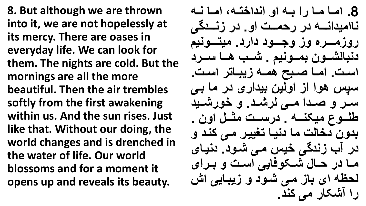**8. But although we are thrown into it, we are not hopelessly at its mercy. There are oases in everyday life. We can look for them. The nights are cold. But the mornings are all the more beautiful. Then the air trembles softly from the first awakening within us. And the sun rises. Just like that. Without our doing, the world changes and is drenched in the water of life. Our world blossoms and for a moment it opens up and reveals its beauty.**

8. امـا مـا را بـه او انداختـه، امـا نـه **نا ی نااااهز ز ح ااااتز ا. ز ناااا گیز** روزمـــره وز وجـــود دارد. میتـــونیم دنبالشـون بمـونيم . شـب هـا سـرد  **ساات. ااازصااب زه ااهز یبااات ز ساات.**  سپس هوا از اولین بیداری در ما ب*ی* سر و صدا مے لرشد. و خورشید **ه ااااعز ی ناااهز. ساااتز ثااالز اکز.**  بدون دخالت ما دنیا تغییر م*ے ،* کند و در آب زندگی خیس م*ے، شو*د. دنیا*ی* ها در حال شـكوفاي*ی* است و برای لحظه ای باز م*ی* شود و زیبایی اش را آشکار مے کند۔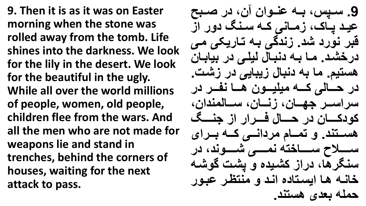**9. Then it is as it was on Easter morning when the stone was rolled away from the tomb. Life shines into the darkness. We look for the lily in the desert. We look for the beautiful in the ugly. While all over the world millions of people, women, old people, children flee from the wars. And all the men who are not made for weapons lie and stand in trenches, behind the corners of houses, waiting for the next attack to pass.**

9. سيس، بـه عنـوان آن، در صبح عید یاک، زمان*ی* که سنگ دور از قبر نورد شد. زندگی به تاریکی م*ی* درخشد. مـا بـه دنبـال لیل*ـی* در بیابـا*ن* هستیم. ما به دنبال زیبای*ی* در زشت. در حـــال*ی* کـــه میلیـــون هـــا نفـــر در سر اســر جهــا*ن*، زنــان، ســالمندان، کودکسا*ن* در حسال فسرار از جنسگ هستند. و تمــام مردانــ*ی* کــه بــرای سلاح ساخته نمسی شـوند، در سنگرها، دراز کشیده و یشت گوشه خانـه هـا ايسـتاده انـد و منتظـر عبور **ح هزبع وزهستن .**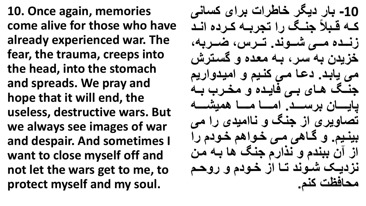**10. Once again, memories come alive for those who have already experienced war. The fear, the trauma, creeps into the head, into the stomach and spreads. We pray and hope that it will end, the useless, destructive wars. But we always see images of war and despair. And sometimes I want to close myself off and not let the wars get to me, to protect myself and my soul.**

**-10 با ز ی ز اه تزب وزاسانیز** کـه قـُبلاً جنــگ را تجربــه کـرده انـد زنــده مــ شـوند<sub>-</sub> تــرس، ضـربه، خزیدن به سر ، بـه معده و گسترش می یابد. دعا م*ی* کنیم و امیدواریم جنــگ هــای بــی فایــده و مخـرب بــه **پایااااااکزب سااااا . ااااااز اااااازه یشاااااهز تصاای وز زجن زازنا ی وز ز ی بینیم. و گاهی می خواهم خودم را** از آن ببندم و نذارم جنگ ها بـه من نزدیک شوند تـا از خودم و روحم محافظت كنم<sub>-</sub>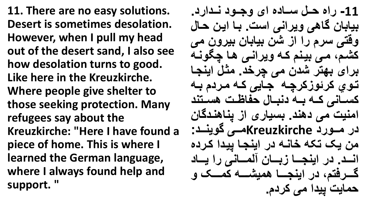**11. There are no easy solutions. Desert is sometimes desolation. However, when I pull my head out of the desert sand, I also see how desolation turns to good. Like here in the Kreuzkirche. Where people give shelter to those seeking protection. Many refugees say about the Kreuzkirche: "Here I have found a piece of home. This is where I learned the German language, where I always found help and support. "**

**-11 زحاالزسااا ز وزاجااا زناا . بیاباکزگاهیزای نیز ست. بااز یاکزحاالز اقتیزس لز ز زشکزبیاباکزبی اک یز** کشم، م*ی* بینم که ویرانی ها چگونه برای بهتر شدن می چرخد<sub>.</sub> مثّل اینجا توي کرئوزکرچه جاي*ی ک*ه مردم به المسانی که به دنبال حفاظت هستند امنیت می دهند<sub>-</sub> بسیاری از یناهندگان  **ز اااا زKreuzkirche ااایزگاینااا :**  من یک تکه خانــه در اینجــا ییدا کرده انسد. در اینجــا زبــا*ن* آلمــانی را یــاد گــرفتم، در اینجـــا همیشـــه کمـــک و حمایت ییدا م*ی* کردم.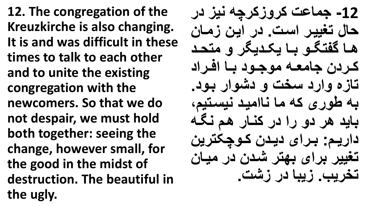**12. The congregation of the Kreuzkirche is also changing. It is and was difficult in these times to talk to each other and to unite the existing congregation with the newcomers. So that we do not despair, we must hold both together: seeing the change, however small, for the good in the midst of destruction. The beautiful in the ugly.**

**-12 ج ااتزا ا ا چهزنی ز حالزت ییا ز سات. ز یاکز ااک** ها گفتگو با یکدیگر و متحد کردن جامعه موجود با افراد تازه وارد سخت و دشوار بود. به طوری که ما ناامید نیستیم، باید هر دو را در کنار هم نگه داریم: برای دیدن کوچکترین **ت یی زب وزبهت زشا کز ز یااکز ت یم. یباز ز شت.**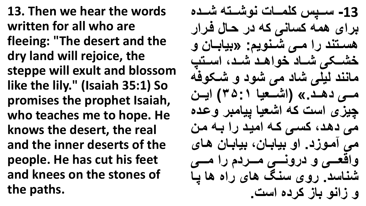**13. Then we hear the words written for all who are fleeing: "The desert and the dry land will rejoice, the steppe will exult and blossom like the lily." (Isaiah 35:1) So promises the prophet Isaiah, who teaches me to hope. He knows the desert, the real and the inner deserts of the people. He has cut his feet and knees on the stones of the paths.**

**-13 ساااپ زا ااااتزناشاااتهزشااا ز** برای همه کسانی که در حال فرار هستند را م*ی* شنویم: «بیابان و خشــكى شــاد خواهـد شـد، اسـتب مانند لیلی شاد می شود و شکوفه هسی **دهد.» (اشعیا ۱:۵۰۲)** ایس چیزی است که اشعیا پیامبر و عده هی دهد، کسی که امید را به من هی آموزد. او بیابان، بیابان های واقع*ــی* و درونــ*ی* مــردم را مــ*ی* شناسد<sub>-</sub> روی سنگ های راه ها پا **از نازبا زا ز ست.**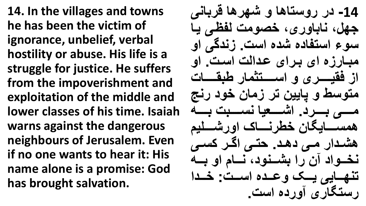**14. In the villages and towns he has been the victim of ignorance, unbelief, verbal hostility or abuse. His life is a struggle for justice. He suffers from the impoverishment and exploitation of the middle and lower classes of his time. Isaiah warns against the dangerous neighbours of Jerusalem. Even if no one wants to hear it: His name alone is a promise: God has brought salvation.**

**-14 ز استاهازازشه هازق بانی** جهل، ناباوری، خصومت لفظی یا سوع استفاده شده است. زندگی او  **باا ز وزبا وزاا نتز سات. از** از فقیـــری و اســـتثمار طبقــــات  **تاسهزازپاییکزت ز اکز ا ز نجز** هسی بسود. اشسعیا نسببت بسه همســــایگان خطرنـــــاک اورشـــــلیم هشدار می دهد. حتی اگر کس*ی* نخسواد آن را بش*س*نود، نسام او بسه تنهایی یسک وعده است: خدا رس**تگا**ری آورده است.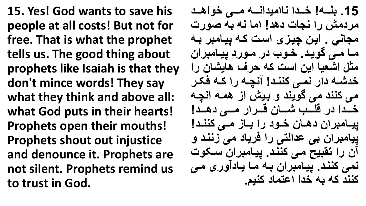**15. Yes! God wants to save his people at all costs! But not for free. That is what the prophet tells us. The good thing about prophets like Isaiah is that they don't mince words! They say what they think and above all: what God puts in their hearts! Prophets open their mouths! Prophets shout out injustice and denounce it. Prophets are not silent. Prophets remind us to trust in God.**

15. بلسه! خـدا نـاامیدانسه مــي خواهـد مردمش را نجات دهد! اما نه به صورت مجان*ی* . این چیزی است که پیامبر به مـا مـی گویـد. خـوب در مـورد پیـامبرا*ن* مثل اشعیا این است که حرف هایشان را خدشه دار نم*ی* کنند! آنچه را که فکر می کنند می گویند و بیش از ه*م*ه آنچه خــدا در قلــب شـــان قــرار مــ*ـى* دهــد! **پیااا ب کز هاااکز ااا ز زبااا ز اایزانناا !**  پیامبران بی عدالتی را فریاد می زنند و آن را تقبیح م*ی* کنند. پیامبران سکوت نمی کنند<sub>.</sub> پیامبران بـه مـا یـادآوری مـی **انن زاهزبهز ز ات ا زانیل.**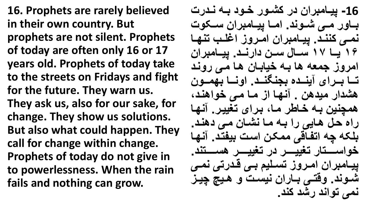**16. Prophets are rarely believed in their own country. But prophets are not silent. Prophets of today are often only 16 or 17 years old. Prophets of today take to the streets on Fridays and fight for the future. They warn us. They ask us, also for our sake, for change. They show us solutions. But also what could happen. They call for change within change. Prophets of today do not give in to powerlessness. When the rain fails and nothing can grow.**

**-16 پیاا ب کز زاشاا ز اا زباهزناا تز** باور م*ی* شوند. اما بیامبران سکوت نمس کنند. پیامبران امروز اغلب تنها **۱۶ یاااز۱۷ سااالزسااکز ناا . پیااا ب کز** امروز جمعه ها بـه خیابـا*ن* هـا مـی رونـد تا بـرای آینـده بجنگنـد. اونـا بهمـون هشدار میدهن <sub>-</sub> آنها از ما می خواهند، **ه چنیکزباهز ااه ز اا زبا وزت ییا . منهااز** راه حل هایی را بـه مـا نشـان مـی دهند. **ب هزچهز تفااقیز اکز ساتزبیفتا . منهااز** خواســـتار تغییـــر در تغییـــر هســـتند<u>.</u> پیــامبران امـروز تسـليم ب*ـی* قـدرتی نمـی شـوند<sub>-</sub> وقتـی بــاران نیست و هیچ چیـز نمی تواند رشد کند<sub>.</sub>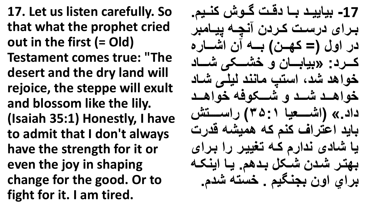- **17. Let us listen carefully. So that what the prophet cried out in the first (= Old)**
- **Testament comes true: "The desert and the dry land will rejoice, the steppe will exult and blossom like the lily. (Isaiah 35:1) Honestly, I have to admit that I don't always have the strength for it or even the joy in shaping change for the good. Or to fight for it. I am tired.**

**-17 بیاییاا زباااز قااتزگاااشزاناایل.**  برای درست کردن آنچه بیامبر  **ز الز)= اهاااک( باااهزمکز شاااا ز** کــرد: «بیابـــان و خشـــکی شـــاد خواهد شد، استب مانند لیل*ی* شاد خواهـد شـد و شــكوفه خواهـد  **.« ) شاااااعیاز۳۵:۱( ساااااتشز باید اعتراف کنم که همیشه قدرت** یا شادی ندارم که تغییر را برا*ی* **بهتا زشا کزشا لزبا هل. یااز ین اهز** براي اون بجنگيم <sub>-</sub> خسته شدم.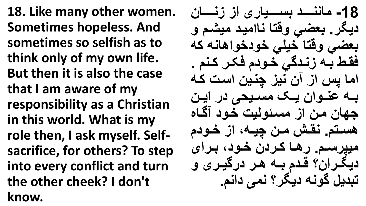**18. Like many other women. Sometimes hopeless. And sometimes so selfish as to think only of my own life. But then it is also the case that I am aware of my responsibility as a Christian in this world. What is my role then, I ask myself. Selfsacrifice, for others? To step into every conflict and turn the other cheek? I don't know.**

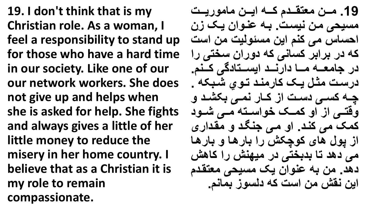**19. I don't think that is my Christian role. As a woman, I feel a responsibility to stand up for those who have a hard time in our society. Like one of our our network workers. She does not give up and helps when she is asked for help. She fights and always gives a little of her little money to reduce the misery in her home country. I believe that as a Christian it is my role to remain compassionate.**

19. مـن معتقــدم كـــه ايــن ماموريــت مسیحی من نیست. بـه عنوان یـک زن احساس می کنم این مسئولیت من است که در برابر کسانی که دوران سختی را در جامعـــه مـــا دارنـــد ایســتادگی کــنم. درست مثل یک کارمند توي شبکه <sub>.</sub> چه کس*ی دست* از کار نم*ی* بکشد و وقت<sub>ه،</sub> از او کمک خواسته مس شود کمک می کند. او می جنگد و مقدا*ری* از یول های کوچکش را بارها و بارها می دهد تا بدبختی در میهنش را کاهش دهد<sub>.</sub> من به عنوان یک مسیحی معتقدم  **یکزناشز کز ستزاهز نسا زب انل.**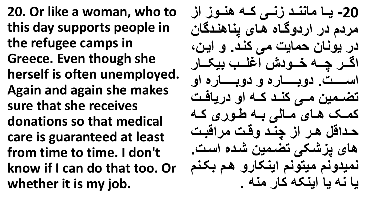**20. Or like a woman, who to this day supports people in the refugee camps in Greece. Even though she herself is often unemployed. Again and again she makes sure that she receives donations so that medical care is guaranteed at least from time to time. I don't know if I can do that too. Or whether it is my job.**

**-20 یاااز انناا ز ناایزاااهزهنااا ز ز** مردم در اردوگاه های یناهندگا*ن* در یونان حمایت می کند<sub>.</sub> و این، اگر چه خودش اغلب بیکار اسست. دویساره و دویساره او تضمین مے کند کـه او دریافت **ا ااشزهاااوز ااانیزبااهزهااا وزاااهز حاا قلزهاا ز زچناا زاقااتز قبااتز هاوزپ ش یزتضا یکزشا ز سات.**  نمیدونم میتونم اینکارو هم بکنم **یازنهزیاز ین هزاا ز نهز.**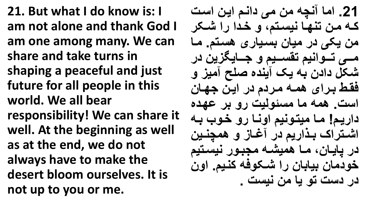**21. But what I do know is: I am not alone and thank God I am one among many. We can share and take turns in shaping a peaceful and just future for all people in this world. We all bear responsibility! We can share it well. At the beginning as well as at the end, we do not always have to make the desert bloom ourselves. It is not up to you or me.**

21 ـ اما آنچه من مي دانم اين است **ااهز اکزتنهاازنیساتل زاز ا ز زشا ااز کزی یز ز یاکزبسایا وزهساتل.**  هـــي تــوانيم تقســيم و جـــايگزين در شکل دادن به یک آینده صلح آمیز و **بااهزبا وزه اهز ا لز ز یاکزجهااکز** است. همه ما مسئولیت رو بر عهده داریم! مـا میتونیم اونـا رو خـوب بـه اشتراک بذاریم در آغاز و همچنین در یایان، ما همیشه مجبور نیستیم خودمان بیابان را شکوفه کنیم. اون  **ز ستزتازیاز کزنیستز.**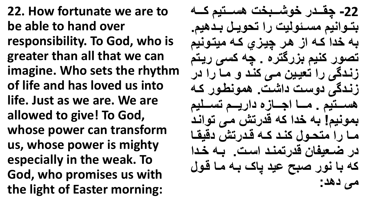**22. How fortunate we are to be able to hand over responsibility. To God, who is greater than all that we can imagine. Who sets the rhythm of life and has loved us into life. Just as we are. We are allowed to give! To God, whose power can transform us, whose power is mighty especially in the weak. To God, who promises us with the light of Easter morning:**

**-22 چااااا ز اشااااب تزهسااااتیلزاااااهز** بتوانیم مسئولیت را تحویل بدهیم. به خدا که از هر چیز*ی* که میتونیم تصور کنیم بزرگتره <sub>-</sub> چه کسی ریتم **زندگی را تعیین می کند و ما را در** زندگی دوست داشت. همونطور که هستيم . مــا اجــازه داريــم تســليم بمونیم! به خدا که قدرتش م*ی* تواند ما را متحول کند که قدرتش دقیقا در ضعیفان قدرتمند است. به خدا که با نور صبح عید پاک بـه مـا قول **مي دهد:**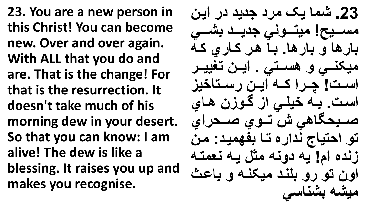**23. You are a new person in this Christ! You can become new. Over and over again. With ALL that you do and are. That is the change! For that is the resurrection. It doesn't take much of his morning dew in your desert. So that you can know: I am alive! The dew is like a blessing. It raises you up and makes you recognise.**

**.23 ش ازیشز زج ی ز ز یاکز** مسيح! ميتونى جديــد بشــ*ي* بارها و بارها. با هر كا*رى* كه میکن*ـی* و هسـتی . ایـن تغییـر است! چرا که این رستاخیز ا**ست. به خيلی از گوزن هاي صااابح اهيزشزتاااادزصاااح دز تاز حتیاجزن زتاازبفه یا : اکز** زنده ام! یه دونه مثل یه نع*مت*ه اون تو رو بلند میکنه و باعث  **یشهزبشناسي**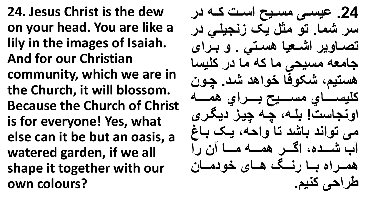**24. Jesus Christ is the dew on your head. You are like a lily in the images of Isaiah. And for our Christian community, which we are in the Church, it will blossom. Because the Church of Christ is for everyone! Yes, what else can it be but an oasis, a watered garden, if we all shape it together with our own colours?**

24. عیس*ی* مسیح است کـه در سر شما. تو مثل یک زنجیل*ی* در **تصاااای ز شااعیازهسااتيز. ازباا وز** جامعه مسیحی ما که ما در کلیسا هستيم، شكوفا خواهد شد<sub>.</sub> چون **ا یساااااادز سااااای زبااااا دزه اااااهز** اونجاست! بله، چه چیز دیگری  **یزتا ن زباش زتازا حه زیاشزبااهز ممزشاااا ز گاااا زه ااااهز ااااازمکز ز** همراه با رنسگ های خودمان **ه حیزانیل.**